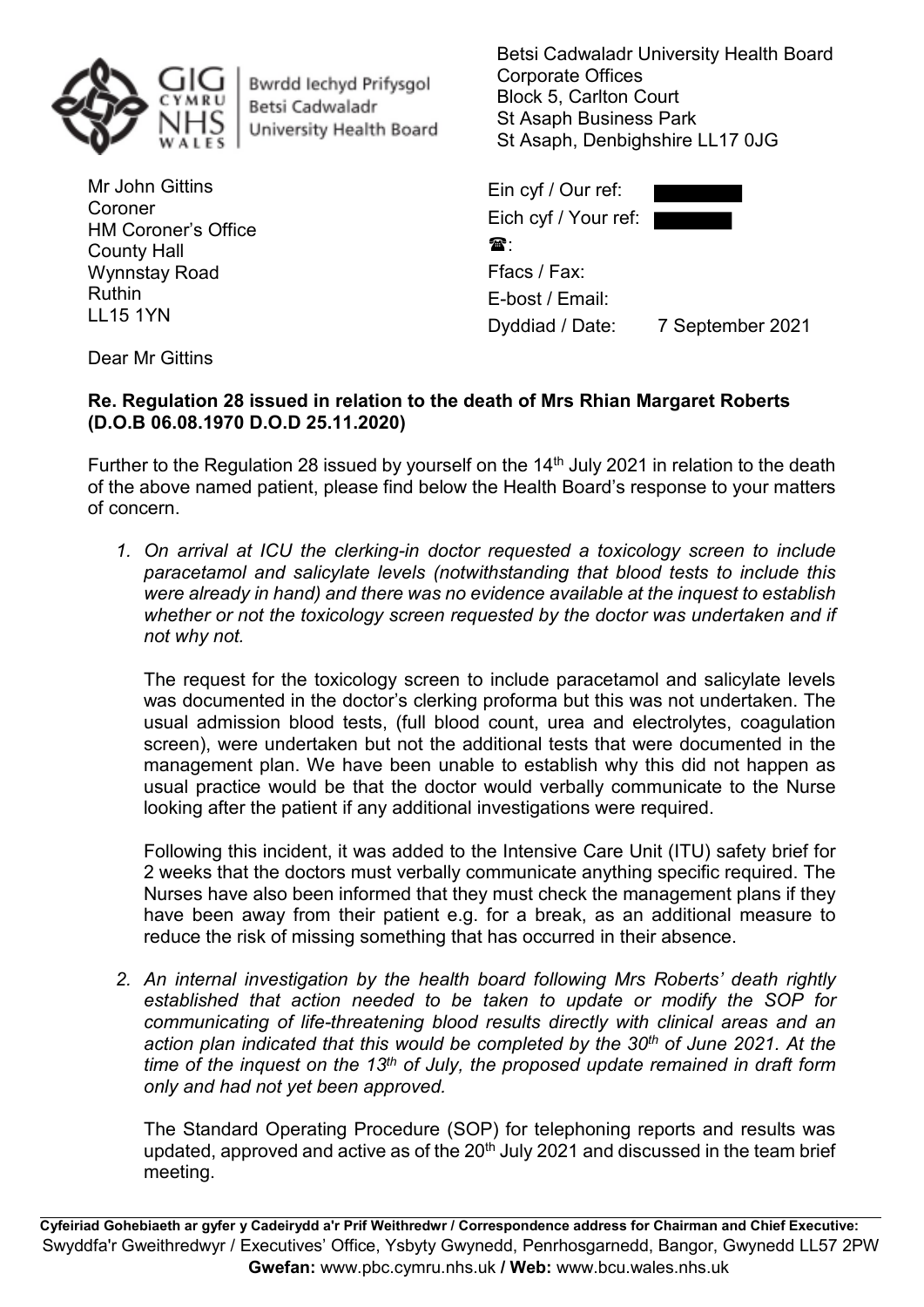

Bwrdd lechyd Prifysgol Betsi Cadwaladr University Health Board

Mr John Gittins Coroner HM Coroner's Office County Hall Wynnstay Road Ruthin LL15 1YN

Betsi Cadwaladr University Health Board Corporate Offices Block 5, Carlton Court St Asaph Business Park St Asaph, Denbighshire LL17 0JG

| Ein cyf / Our ref:   |                  |
|----------------------|------------------|
| Eich cyf / Your ref: |                  |
| 金.                   |                  |
| Ffacs / Fax:         |                  |
| E-bost / Email:      |                  |
| Dyddiad / Date:      | 7 September 2021 |

Dear Mr Gittins

## **Re. Regulation 28 issued in relation to the death of Mrs Rhian Margaret Roberts (D.O.B 06.08.1970 D.O.D 25.11.2020)**

Further to the Regulation 28 issued by yourself on the  $14<sup>th</sup>$  July 2021 in relation to the death of the above named patient, please find below the Health Board's response to your matters of concern.

*1. On arrival at ICU the clerking-in doctor requested a toxicology screen to include paracetamol and salicylate levels (notwithstanding that blood tests to include this were already in hand) and there was no evidence available at the inquest to establish whether or not the toxicology screen requested by the doctor was undertaken and if not why not.*

The request for the toxicology screen to include paracetamol and salicylate levels was documented in the doctor's clerking proforma but this was not undertaken. The usual admission blood tests, (full blood count, urea and electrolytes, coagulation screen), were undertaken but not the additional tests that were documented in the management plan. We have been unable to establish why this did not happen as usual practice would be that the doctor would verbally communicate to the Nurse looking after the patient if any additional investigations were required.

Following this incident, it was added to the Intensive Care Unit (ITU) safety brief for 2 weeks that the doctors must verbally communicate anything specific required. The Nurses have also been informed that they must check the management plans if they have been away from their patient e.g. for a break, as an additional measure to reduce the risk of missing something that has occurred in their absence.

*2. An internal investigation by the health board following Mrs Roberts' death rightly established that action needed to be taken to update or modify the SOP for communicating of life-threatening blood results directly with clinical areas and an action plan indicated that this would be completed by the 30th of June 2021. At the time of the inquest on the 13th of July, the proposed update remained in draft form only and had not yet been approved.*

The Standard Operating Procedure (SOP) for telephoning reports and results was updated, approved and active as of the  $20<sup>th</sup>$  July 2021 and discussed in the team brief meeting.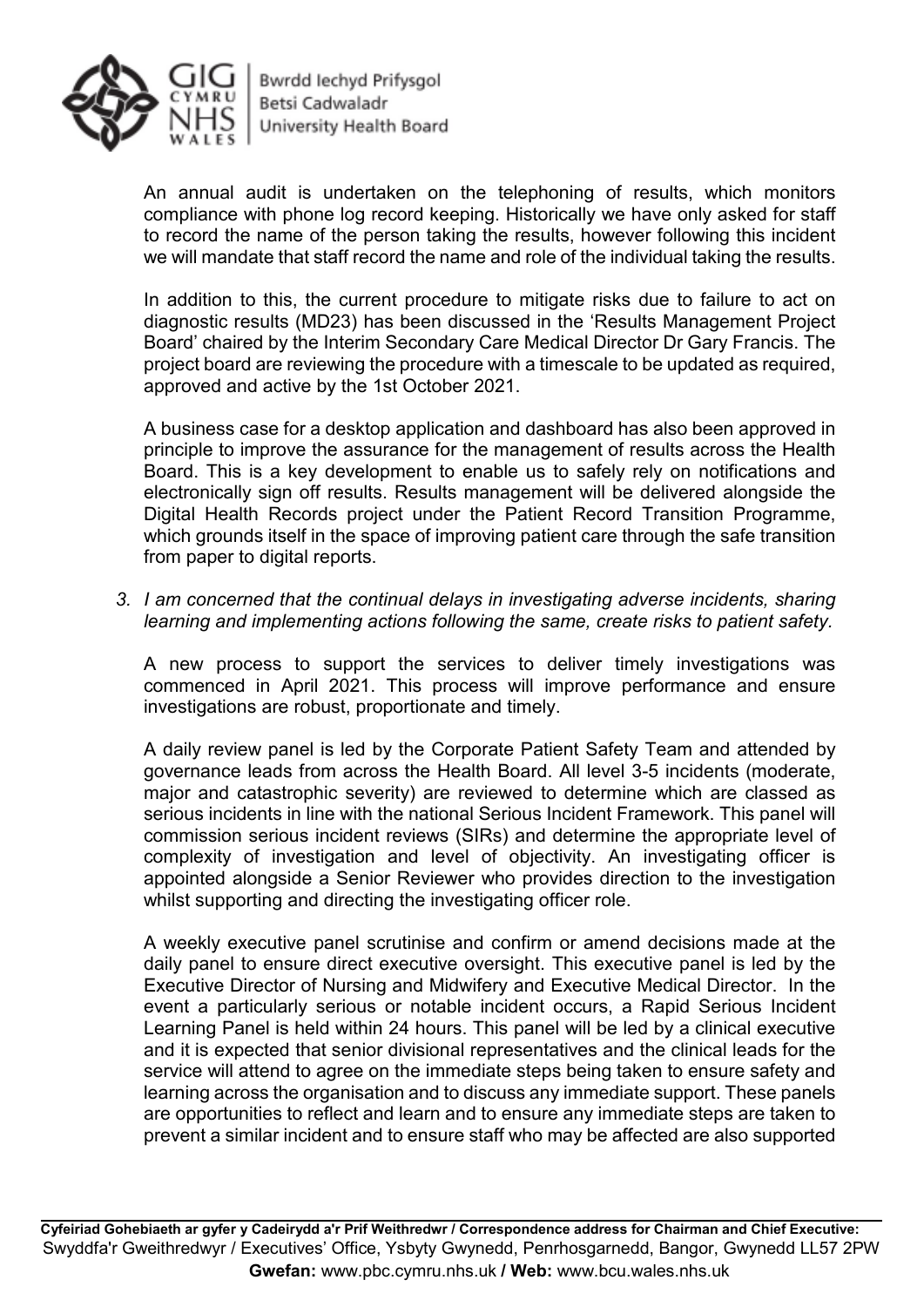

Bwrdd Iechyd Prifysgol Betsi Cadwaladr University Health Board

An annual audit is undertaken on the telephoning of results, which monitors compliance with phone log record keeping. Historically we have only asked for staff to record the name of the person taking the results, however following this incident we will mandate that staff record the name and role of the individual taking the results.

In addition to this, the current procedure to mitigate risks due to failure to act on diagnostic results (MD23) has been discussed in the 'Results Management Project Board' chaired by the Interim Secondary Care Medical Director Dr Gary Francis. The project board are reviewing the procedure with a timescale to be updated as required, approved and active by the 1st October 2021.

A business case for a desktop application and dashboard has also been approved in principle to improve the assurance for the management of results across the Health Board. This is a key development to enable us to safely rely on notifications and electronically sign off results. Results management will be delivered alongside the Digital Health Records project under the Patient Record Transition Programme, which grounds itself in the space of improving patient care through the safe transition from paper to digital reports.

*3. I am concerned that the continual delays in investigating adverse incidents, sharing learning and implementing actions following the same, create risks to patient safety.* 

A new process to support the services to deliver timely investigations was commenced in April 2021. This process will improve performance and ensure investigations are robust, proportionate and timely.

A daily review panel is led by the Corporate Patient Safety Team and attended by governance leads from across the Health Board. All level 3-5 incidents (moderate, major and catastrophic severity) are reviewed to determine which are classed as serious incidents in line with the national Serious Incident Framework. This panel will commission serious incident reviews (SIRs) and determine the appropriate level of complexity of investigation and level of objectivity. An investigating officer is appointed alongside a Senior Reviewer who provides direction to the investigation whilst supporting and directing the investigating officer role.

A weekly executive panel scrutinise and confirm or amend decisions made at the daily panel to ensure direct executive oversight. This executive panel is led by the Executive Director of Nursing and Midwifery and Executive Medical Director. In the event a particularly serious or notable incident occurs, a Rapid Serious Incident Learning Panel is held within 24 hours. This panel will be led by a clinical executive and it is expected that senior divisional representatives and the clinical leads for the service will attend to agree on the immediate steps being taken to ensure safety and learning across the organisation and to discuss any immediate support. These panels are opportunities to reflect and learn and to ensure any immediate steps are taken to prevent a similar incident and to ensure staff who may be affected are also supported

**Cyfeiriad Gohebiaeth ar gyfer y Cadeirydd a'r Prif Weithredwr / Correspondence address for Chairman and Chief Executive:**  Swyddfa'r Gweithredwyr / Executives' Office, Ysbyty Gwynedd, Penrhosgarnedd, Bangor, Gwynedd LL57 2PW  **Gwefan:** www.pbc.cymru.nhs.uk **/ Web:** www.bcu.wales.nhs.uk